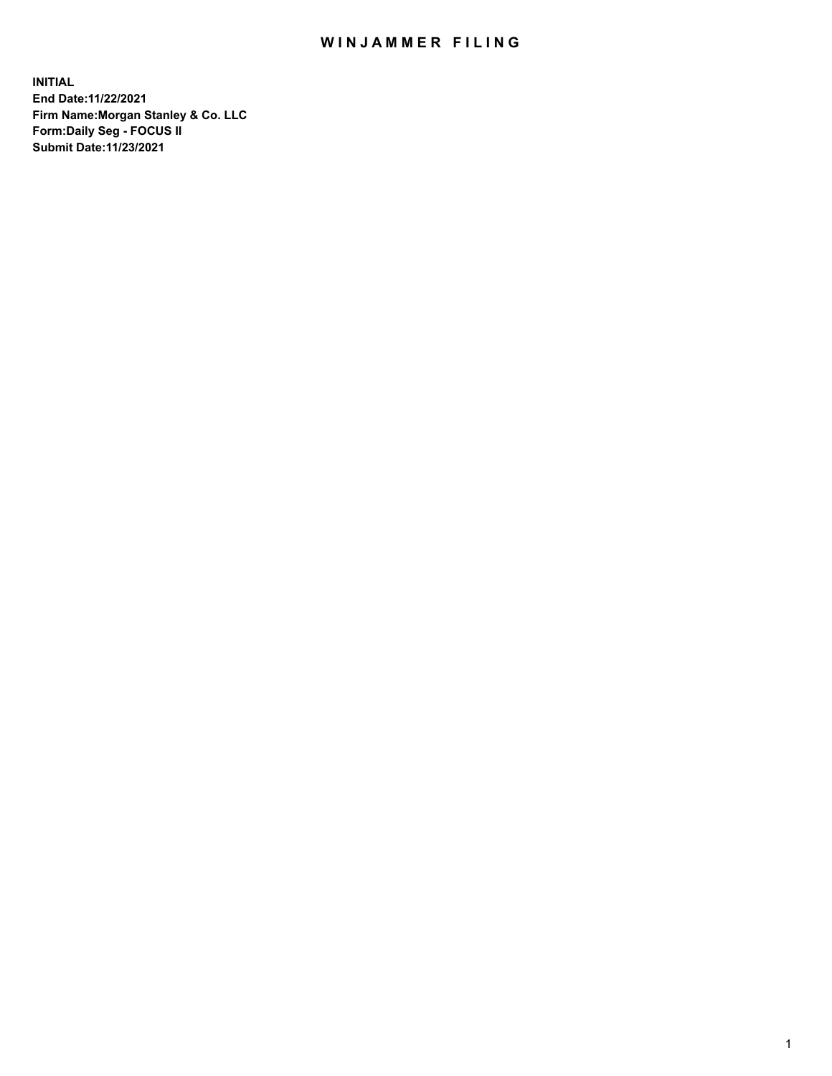## WIN JAMMER FILING

**INITIAL End Date:11/22/2021 Firm Name:Morgan Stanley & Co. LLC Form:Daily Seg - FOCUS II Submit Date:11/23/2021**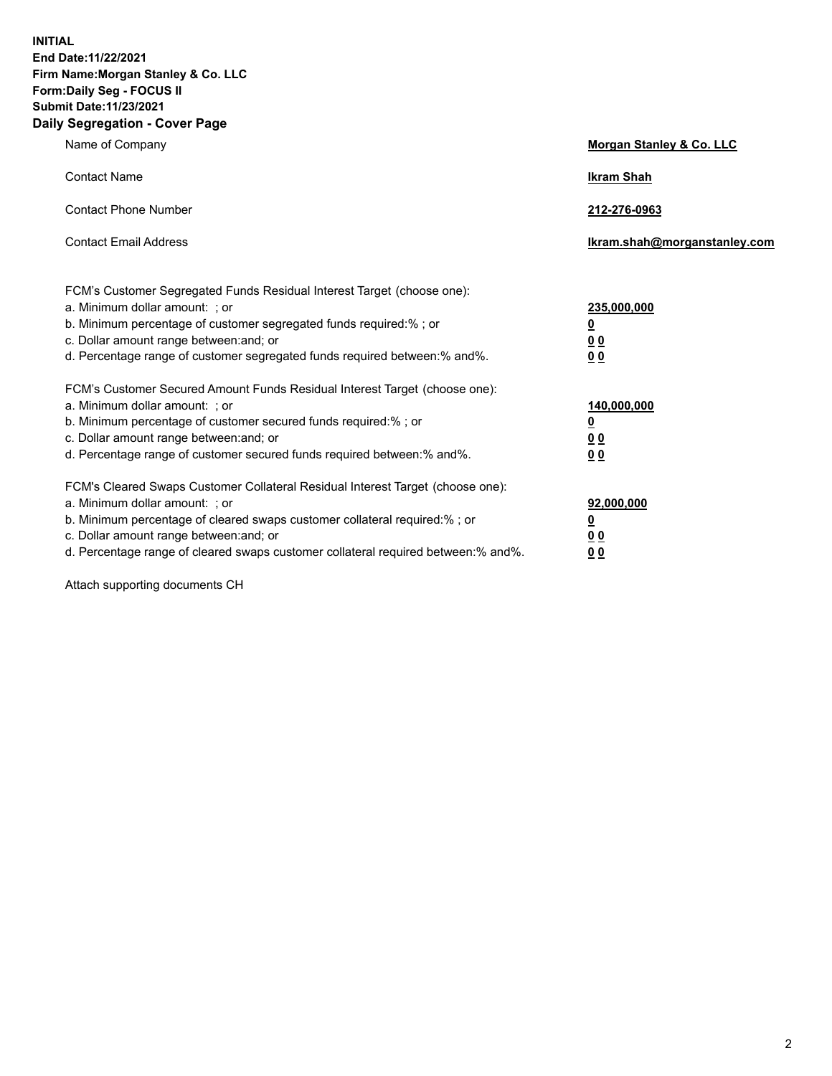**INITIAL End Date:11/22/2021 Firm Name:Morgan Stanley & Co. LLC Form:Daily Seg - FOCUS II Submit Date:11/23/2021 Daily Segregation - Cover Page**

| Name of Company                                                                                                                                                                                                                                                                                                               | Morgan Stanley & Co. LLC                               |
|-------------------------------------------------------------------------------------------------------------------------------------------------------------------------------------------------------------------------------------------------------------------------------------------------------------------------------|--------------------------------------------------------|
| <b>Contact Name</b>                                                                                                                                                                                                                                                                                                           | <b>Ikram Shah</b>                                      |
| <b>Contact Phone Number</b>                                                                                                                                                                                                                                                                                                   | 212-276-0963                                           |
| <b>Contact Email Address</b>                                                                                                                                                                                                                                                                                                  | Ikram.shah@morganstanley.com                           |
| FCM's Customer Segregated Funds Residual Interest Target (choose one):<br>a. Minimum dollar amount: ; or<br>b. Minimum percentage of customer segregated funds required:% ; or<br>c. Dollar amount range between: and; or<br>d. Percentage range of customer segregated funds required between:% and%.                        | 235,000,000<br><u>0</u><br><u>00</u><br>0 <sup>0</sup> |
| FCM's Customer Secured Amount Funds Residual Interest Target (choose one):<br>a. Minimum dollar amount: ; or<br>b. Minimum percentage of customer secured funds required:%; or<br>c. Dollar amount range between: and; or<br>d. Percentage range of customer secured funds required between:% and%.                           | 140,000,000<br><u>0</u><br><u>00</u><br>0 <sub>0</sub> |
| FCM's Cleared Swaps Customer Collateral Residual Interest Target (choose one):<br>a. Minimum dollar amount: ; or<br>b. Minimum percentage of cleared swaps customer collateral required:%; or<br>c. Dollar amount range between: and; or<br>d. Percentage range of cleared swaps customer collateral required between:% and%. | 92,000,000<br><u>0</u><br>0 Q<br>00                    |

Attach supporting documents CH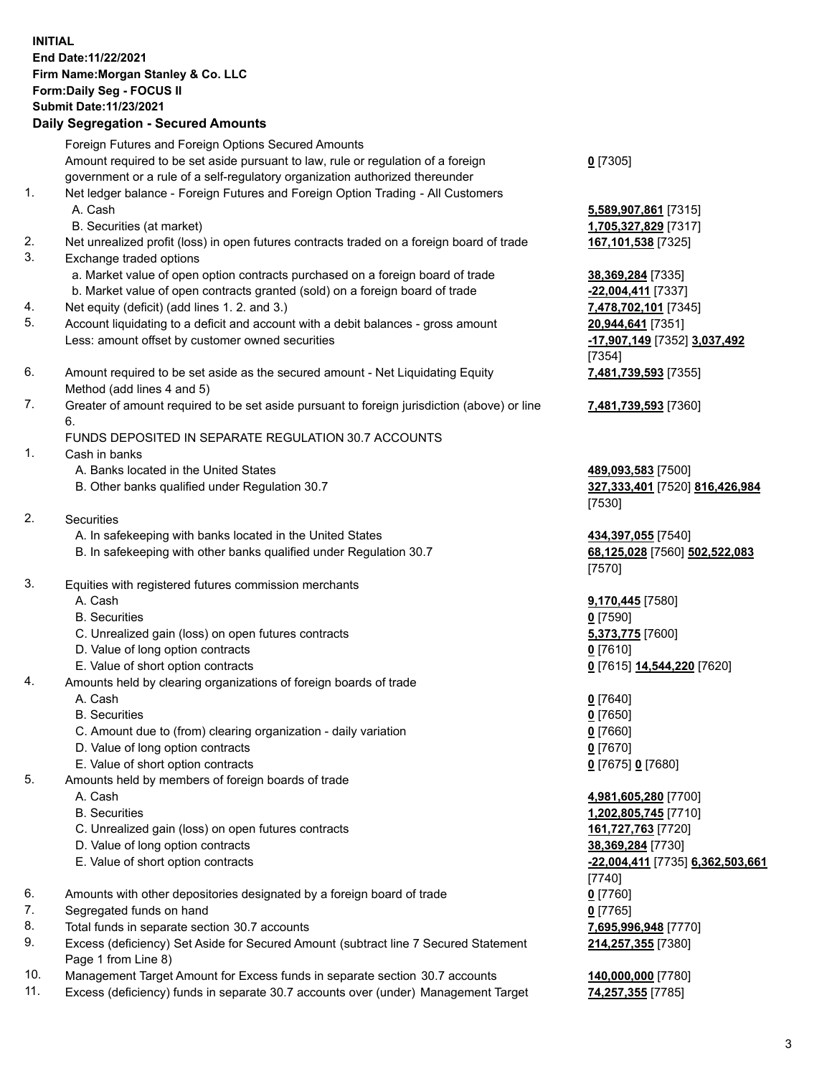## **INITIAL End Date:11/22/2021 Firm Name:Morgan Stanley & Co. LLC Form:Daily Seg - FOCUS II Submit Date:11/23/2021**

## **Daily Segregation - Secured Amounts**

Foreign Futures and Foreign Options Secured Amounts Amount required to be set aside pursuant to law, rule or regulation of a foreign government or a rule of a self-regulatory organization authorized thereunder 1. Net ledger balance - Foreign Futures and Foreign Option Trading - All Customers A. Cash **5,589,907,861** [7315] B. Securities (at market) **1,705,327,829** [7317] 2. Net unrealized profit (loss) in open futures contracts traded on a foreign board of trade **167,101,538** [7325] 3. Exchange traded options a. Market value of open option contracts purchased on a foreign board of trade **38,369,284** [7335] b. Market value of open contracts granted (sold) on a foreign board of trade **-22,004,411** [7337] 4. Net equity (deficit) (add lines 1. 2. and 3.) **7,478,702,101** [7345] 5. Account liquidating to a deficit and account with a debit balances - gross amount **20,944,641** [7351] Less: amount offset by customer owned securities **-17,907,149** [7352] **3,037,492** 6. Amount required to be set aside as the secured amount - Net Liquidating Equity Method (add lines 4 and 5) 7. Greater of amount required to be set aside pursuant to foreign jurisdiction (above) or line 6. FUNDS DEPOSITED IN SEPARATE REGULATION 30.7 ACCOUNTS 1. Cash in banks A. Banks located in the United States **489,093,583** [7500] B. Other banks qualified under Regulation 30.7 **327,333,401** [7520] **816,426,984** 2. Securities A. In safekeeping with banks located in the United States **434,397,055** [7540] B. In safekeeping with other banks qualified under Regulation 30.7 **68,125,028** [7560] **502,522,083** 3. Equities with registered futures commission merchants A. Cash **9,170,445** [7580] B. Securities **0** [7590] C. Unrealized gain (loss) on open futures contracts **5,373,775** [7600] D. Value of long option contracts **0** [7610] E. Value of short option contracts **0** [7615] **14,544,220** [7620] 4. Amounts held by clearing organizations of foreign boards of trade A. Cash **0** [7640] B. Securities **0** [7650] C. Amount due to (from) clearing organization - daily variation **0** [7660] D. Value of long option contracts **0** [7670] E. Value of short option contracts **0** [7675] **0** [7680] 5. Amounts held by members of foreign boards of trade A. Cash **4,981,605,280** [7700]

- 
- C. Unrealized gain (loss) on open futures contracts **161,727,763** [7720]
- D. Value of long option contracts **38,369,284** [7730]
- E. Value of short option contracts **-22,004,411** [7735] **6,362,503,661**
- 6. Amounts with other depositories designated by a foreign board of trade **0** [7760]
- 7. Segregated funds on hand **0** [7765]
- 8. Total funds in separate section 30.7 accounts **7,695,996,948** [7770]
- 9. Excess (deficiency) Set Aside for Secured Amount (subtract line 7 Secured Statement Page 1 from Line 8)
- 10. Management Target Amount for Excess funds in separate section 30.7 accounts **140,000,000** [7780]
- 11. Excess (deficiency) funds in separate 30.7 accounts over (under) Management Target **74,257,355** [7785]

**0** [7305]

[7354] **7,481,739,593** [7355]

**7,481,739,593** [7360]

[7530]

[7570]

 B. Securities **1,202,805,745** [7710] [7740] **214,257,355** [7380]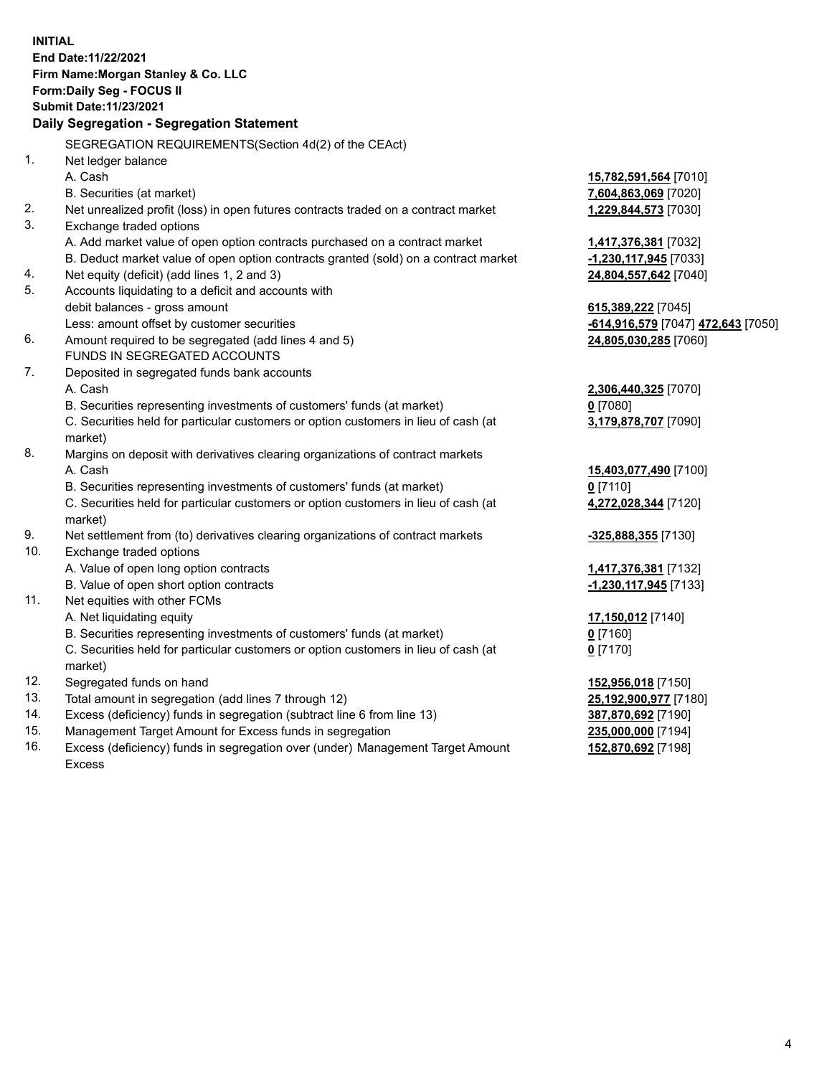**INITIAL End Date:11/22/2021 Firm Name:Morgan Stanley & Co. LLC Form:Daily Seg - FOCUS II Submit Date:11/23/2021 Daily Segregation - Segregation Statement** SEGREGATION REQUIREMENTS(Section 4d(2) of the CEAct) 1. Net ledger balance A. Cash **15,782,591,564** [7010] B. Securities (at market) **7,604,863,069** [7020] 2. Net unrealized profit (loss) in open futures contracts traded on a contract market **1,229,844,573** [7030] 3. Exchange traded options A. Add market value of open option contracts purchased on a contract market **1,417,376,381** [7032] B. Deduct market value of open option contracts granted (sold) on a contract market **-1,230,117,945** [7033] 4. Net equity (deficit) (add lines 1, 2 and 3) **24,804,557,642** [7040] 5. Accounts liquidating to a deficit and accounts with debit balances - gross amount **615,389,222** [7045] Less: amount offset by customer securities **-614,916,579** [7047] **472,643** [7050] 6. Amount required to be segregated (add lines 4 and 5) **24,805,030,285** [7060] FUNDS IN SEGREGATED ACCOUNTS 7. Deposited in segregated funds bank accounts A. Cash **2,306,440,325** [7070] B. Securities representing investments of customers' funds (at market) **0** [7080] C. Securities held for particular customers or option customers in lieu of cash (at market) **3,179,878,707** [7090] 8. Margins on deposit with derivatives clearing organizations of contract markets A. Cash **15,403,077,490** [7100] B. Securities representing investments of customers' funds (at market) **0** [7110] C. Securities held for particular customers or option customers in lieu of cash (at market) **4,272,028,344** [7120] 9. Net settlement from (to) derivatives clearing organizations of contract markets **-325,888,355** [7130] 10. Exchange traded options A. Value of open long option contracts **1,417,376,381** [7132] B. Value of open short option contracts **-1,230,117,945** [7133] 11. Net equities with other FCMs A. Net liquidating equity **17,150,012** [7140] B. Securities representing investments of customers' funds (at market) **0** [7160] C. Securities held for particular customers or option customers in lieu of cash (at market) **0** [7170] 12. Segregated funds on hand **152,956,018** [7150] 13. Total amount in segregation (add lines 7 through 12) **25,192,900,977** [7180] 14. Excess (deficiency) funds in segregation (subtract line 6 from line 13) **387,870,692** [7190] 15. Management Target Amount for Excess funds in segregation **235,000,000** [7194] **152,870,692** [7198]

16. Excess (deficiency) funds in segregation over (under) Management Target Amount Excess